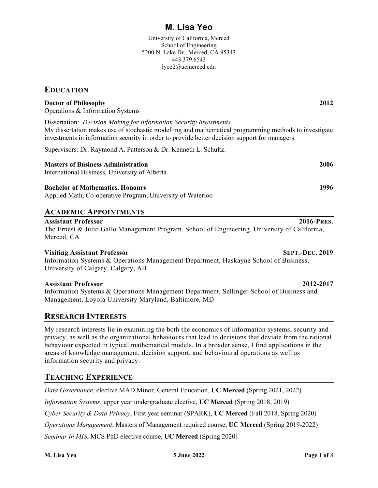# **M. Lisa Yeo**

University of California, Merced School of Engineering 5200 N. Lake Dr., Merced, CA 95343 443.379.6543 lyeo2@ucmerced.edu

## **EDUCATION**

| <b>Doctor of Philosophy</b> | 2012 |
|-----------------------------|------|
|-----------------------------|------|

Operations & Information Systems

Dissertation: *Decision Making for Information Security Investments* My dissertation makes use of stochastic modelling and mathematical programming methods to investigate investments in information security in order to provide better decision support for managers.

Supervisors: Dr. Raymond A. Patterson & Dr. Kenneth L. Schultz.

## **Masters of Business Administration 2006**

International Business, University of Alberta

## **Bachelor of Mathematics, Honours 1996**

Applied Math, Co-operative Program, University of Waterloo

# **ACADEMIC APPOINTMENTS**

## **Assistant Professor 2016-PRES.**

The Ernest & Julio Gallo Management Program, School of Engineering, University of California, Merced, CA

## **Visiting Assistant Professor SEPT.-DEC. 2019**

Information Systems & Operations Management Department, Haskayne School of Business, University of Calgary, Calgary, AB

## **Assistant Professor 2012-2017**

Information Systems & Operations Management Department, Sellinger School of Business and Management, Loyola University Maryland, Baltimore, MD

# **RESEARCH INTERESTS**

My research interests lie in examining the both the economics of information systems, security and privacy, as well as the organizational behaviours that lead to decisions that deviate from the rational behaviour expected in typical mathematical models. In a broader sense, I find applications in the areas of knowledge management, decision support, and behavioural operations as well as information security and privacy.

# **TEACHING EXPERIENCE**

*Data Governance*, elective MAD Minor, General Education, **UC Merced** (Spring 2021, 2022)

*Information Systems*, upper year undergraduate elective, **UC Merced** (Spring 2018, 2019)

*Cyber Security & Data Privacy*, First year seminar (SPARK), **UC Merced** (Fall 2018, Spring 2020)

*Operations Management*, Masters of Management required course, **UC Merced** (Spring 2019-2022)

*Seminar in MIS*, MCS PhD elective course, **UC Merced** (Spring 2020)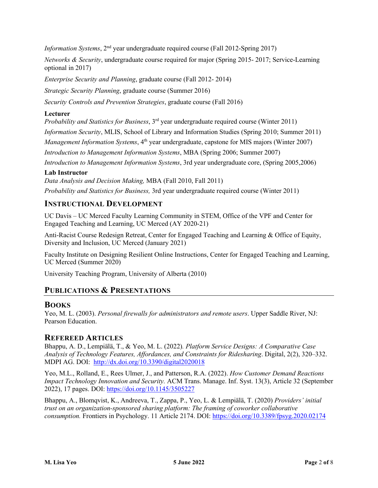*Information Systems*, 2<sup>nd</sup> year undergraduate required course (Fall 2012-Spring 2017)

*Networks & Security*, undergraduate course required for major (Spring 2015- 2017; Service-Learning optional in 2017)

*Enterprise Security and Planning*, graduate course (Fall 2012- 2014)

*Strategic Security Planning*, graduate course (Summer 2016)

*Security Controls and Prevention Strategies*, graduate course (Fall 2016)

## **Lecturer**

*Probability and Statistics for Business*, 3<sup>rd</sup> year undergraduate required course (Winter 2011)

*Information Security*, MLIS, School of Library and Information Studies (Spring 2010; Summer 2011)

*Management Information Systems*, 4<sup>th</sup> year undergraduate, capstone for MIS majors (Winter 2007)

*Introduction to Management Information Systems*, MBA (Spring 2006; Summer 2007)

*Introduction to Management Information Systems*, 3rd year undergraduate core, (Spring 2005,2006)

## **Lab Instructor**

*Data Analysis and Decision Making,* MBA (Fall 2010, Fall 2011)

*Probability and Statistics for Business,* 3rd year undergraduate required course (Winter 2011)

# **INSTRUCTIONAL DEVELOPMENT**

UC Davis – UC Merced Faculty Learning Community in STEM, Office of the VPF and Center for Engaged Teaching and Learning, UC Merced (AY 2020-21)

Anti-Racist Course Redesign Retreat, Center for Engaged Teaching and Learning & Office of Equity, Diversity and Inclusion, UC Merced (January 2021)

Faculty Institute on Designing Resilient Online Instructions, Center for Engaged Teaching and Learning, UC Merced (Summer 2020)

University Teaching Program, University of Alberta (2010)

# **PUBLICATIONS & PRESENTATIONS**

## **BOOKS**

Yeo, M. L. (2003). *Personal firewalls for administrators and remote users*. Upper Saddle River, NJ: Pearson Education.

## **REFEREED ARTICLES**

Bhappu, A. D., Lempiälä, T., & Yeo, M. L. (2022)*. Platform Service Designs: A Comparative Case Analysis of Technology Features, Affordances, and Constraints for Ridesharing*. Digital, 2(2), 320–332. MDPI AG. DOI: <http://dx.doi.org/10.3390/digital2020018>

Yeo, M.L., Rolland, E., Rees Ulmer, J., and Patterson, R.A. (2022). *How Customer Demand Reactions Impact Technology Innovation and Security.* ACM Trans. Manage. Inf. Syst. 13(3), Article 32 (September 2022), 17 pages. DOI: https://doi.org/10.1145/3505227

Bhappu, A., Blomqvist, K., Andreeva, T., Zappa, P., Yeo, L. & Lempiälä, T. (2020) *Providers' initial trust on an organization-sponsored sharing platform: The framing of coworker collaborative consumption.* Frontiers in Psychology. 11 Article 2174. DOI: <https://doi.org/10.3389/fpsyg.2020.02174>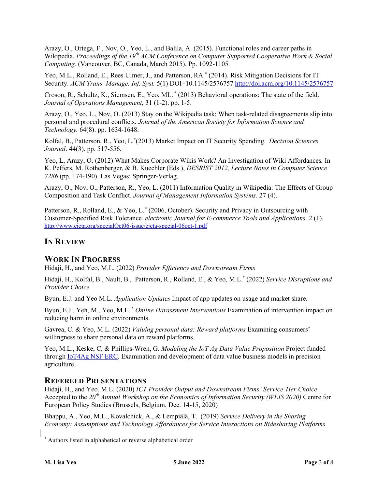Arazy, O., Ortega, F., Nov, O., Yeo, L., and Balila, A. (2015). Functional roles and career paths in Wikipedia. *Proceedings of the 19<sup>th</sup> ACM Conference on Computer Supported Cooperative Work & Social Computing.* (Vancouver, BC, Canada, March 2015). Pp. 1092-1105

Yeo, M.L., Rolland, E., Rees Ulmer, J., and Patterson, RA.\* (2014). Risk Mitigation Decisions for IT Security. *ACM Trans. Manage. Inf. Syst.* 5(1) DOI=10.1145/257675[7 http://doi.acm.org/10.1145/2576757](http://doi.acm.org/10.1145/2576757) 

Croson, R., Schultz, K., Siemsen, E., Yeo, ML. \* (2013) Behavioral operations: The state of the field. *Journal of Operations Management*, 31 (1-2). pp. 1-5.

Arazy, O., Yeo, L., Nov, O. (2013) Stay on the Wikipedia task: When task-related disagreements slip into personal and procedural conflicts. *Journal of the American Society for Information Science and Technology.* 64(8). pp. 1634-1648.

Kolfal, B., Patterson, R., Yeo, L.\* (2013) Market Impact on IT Security Spending. *Decision Sciences Journal*. 44(3). pp. 517-556.

Yeo, L, Arazy, O. (2012) What Makes Corporate Wikis Work? An Investigation of Wiki Affordances*.* In K. Peffers, M. Rothenberger, & B. Kuechler (Eds.), *DESRIST 2012, Lecture Notes in Computer Science 7286* (pp. 174-190). Las Vegas: Springer-Verlag.

Arazy, O., Nov, O., Patterson, R., Yeo, L. (2011) Information Quality in Wikipedia: The Effects of Group Composition and Task Conflict. *Journal of Management Information Systems.* 27 (4).

Patterson, R., Rolland, E., & Yeo, L[.\\*](#page-2-0) (2006, October). Security and Privacy in Outsourcing with Customer-Specified Risk Tolerance*. electronic Journal for E-commerce Tools and Applications.* 2 (1). <http://www.ejeta.org/specialOct06-issue/ejeta-special-06oct-1.pdf>

# **IN REVIEW**

# **WORK IN PROGRESS**

Hidaji, H., and Yeo, M.L. (2022) *Provider Efficiency and Downstream Firms*

Hidaji, H., Kolfal, B., Nault, B., Patterson, R., Rolland, E., & Yeo, M.L.\* (2022) *Service Disruptions and Provider Choice*

Byun, E.J. and Yeo M.L. *Application Updates* Impact of app updates on usage and market share.

Byun, E.J., Yeh, M., Yeo, M.L. \* *Online Harassment Interventions* Examination of intervention impact on reducing harm in online environments.

Gavrea, C. & Yeo, M.L. (2022) *Valuing personal data: Reward platforms* Examining consumers' willingness to share personal data on reward platforms.

Yeo, M.L., Keske, C, & Phillips-Wren, G. *Modeling the IoT Ag Data Value Proposition* Project funded through [IoT4Ag NSF ERC.](https://iot4ag.us/) Examination and development of data value business models in precision agriculture.

# **REFEREED PRESENTATIONS**

Hidaji, H., and Yeo, M.L. (2020) *ICT Provider Output and Downstream Firms' Service Tier Choice* Accepted to the 20<sup>th</sup> Annual Workshop on the Economics of Information Security (WEIS 2020) Centre for European Policy Studies (Brussels, Belgium, Dec. 14-15, 2020)

Bhappu, A., Yeo, M.L., Kovalchick, A., & Lempiälä, T. (2019) *Service Delivery in the Sharing Economy: Assumptions and Technology Affordances for Service Interactions on Ridesharing Platforms*

<span id="page-2-0"></span>Authors listed in alphabetical or reverse alphabetical order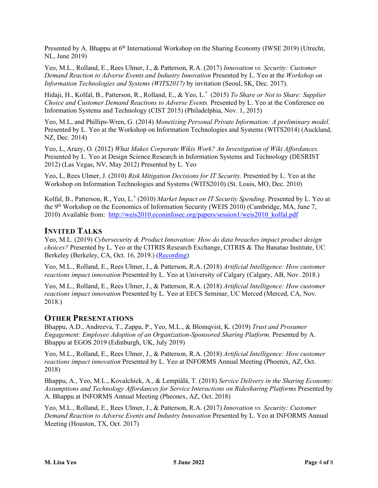Presented by A. Bhappu at 6<sup>th</sup> International Workshop on the Sharing Economy (IWSE 2019) (Utrecht, NL, June 2019)

Yeo, M.L., Rolland, E., Rees Ulmer, J., & Patterson, R.A. (2017) *Innovation vs. Security: Customer Demand Reaction to Adverse Events and Industry Innovation* Presented by L. Yeo at the *Workshop on Information Technologies and Systems (WITS2017)* by invitation (Seoul, SK, Dec. 2017).

Hidaji, H., Kolfal, B., Patterson, R., Rolland, E., & Yeo, L.\* (2015) *To Share or Not to Share: Supplier Choice and Customer Demand Reactions to Adverse Events.* Presented by L. Yeo at the Conference on Information Systems and Technology (CIST 2015) (Philadelphia, Nov. 1, 2015)

Yeo, M.L, and Phillips-Wren, G. (2014) *Monetizing Personal Private Information: A preliminary model.*  Presented by L. Yeo at the Workshop on Information Technologies and Systems (WITS2014) (Auckland, NZ, Dec. 2014)

Yeo, L, Arazy, O. (2012) *What Makes Corporate Wikis Work? An Investigation of Wiki Affordances.*  Presented by L. Yeo at Design Science Research in Information Systems and Technology (DESRIST 2012) (Las Vegas, NV, May 2012) Presented by L. Yeo

Yeo, L, Rees Ulmer, J. (2010) *Risk Mitigation Decisions for IT Security.* Presented by L. Yeo at the Workshop on Information Technologies and Systems (WITS2010) (St. Louis, MO, Dec. 2010)

Kolfal, B., Patterson, R., Yeo, L.\* (2010) *Market Impact on IT Security Spending*. Presented by L. Yeo at the 9<sup>th</sup> Workshop on the Economics of Information Security (WEIS 2010) (Cambridge, MA, June 7, 2010) Available from: http://weis2010.econinfosec.org/papers/session1/weis2010\_kolfal.pdf

# **INVITED TALKS**

Yeo, M.L. (2019) *Cybersecurity & Product Innovation: How do data breaches impact product design choices?* Presented by L. Yeo at the CITRIS Research Exchange, CITRIS & The Banatao Institute, UC Berkeley (Berkeley, CA, Oct. 16, 2019.) [\(Recording\)](https://youtu.be/teb00n1Qevs)

Yeo, M.L., Rolland, E., Rees Ulmer, J., & Patterson, R.A. (2018) *Artificial Intelligence: How customer reactions impact innovation* Presented by L. Yeo at University of Calgary (Calgary, AB, Nov. 2018.)

Yeo, M.L., Rolland, E., Rees Ulmer, J., & Patterson, R.A. (2018) *Artificial Intelligence: How customer reactions impact innovation* Presented by L. Yeo at EECS Seminar, UC Merced (Merced, CA, Nov. 2018.)

# **OTHER PRESENTATIONS**

Bhappu, A.D., Andreeva, T., Zappa, P., Yeo, M.L., & Blomqvist, K. (2019) *Trust and Prosumer Engagement: Employee Adoption of an Organization-Sponsored Sharing Platform*. Presented by A. Bhappu at EGOS 2019 (Edinburgh, UK, July 2019)

Yeo, M.L., Rolland, E., Rees Ulmer, J., & Patterson, R.A. (2018) *Artificial Intelligence: How customer reactions impact innovation* Presented by L. Yeo at INFORMS Annual Meeting (Phoenix, AZ, Oct. 2018)

Bhappu, A., Yeo, M.L., Kovalchick, A., & Lempiälä, T. (2018) *Service Delivery in the Sharing Economy: Assumptions and Technology Affordances for Service Interactions on Ridesharing Platforms* Presented by A. Bhappu at INFORMS Annual Meeting (Pheonex, AZ, Oct. 2018)

Yeo, M.L., Rolland, E., Rees Ulmer, J., & Patterson, R.A. (2017) *Innovation vs. Security: Customer Demand Reaction to Adverse Events and Industry Innovation* Presented by L. Yeo at INFORMS Annual Meeting (Houston, TX, Oct. 2017)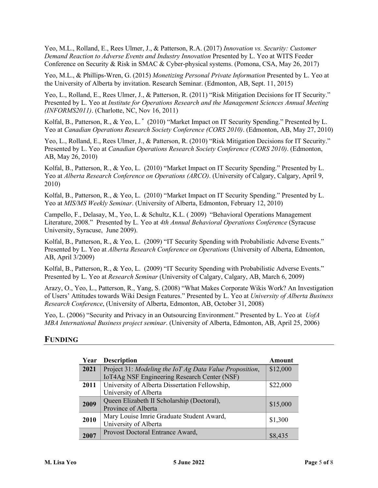Yeo, M.L., Rolland, E., Rees Ulmer, J., & Patterson, R.A. (2017) *Innovation vs. Security: Customer Demand Reaction to Adverse Events and Industry Innovation* Presented by L. Yeo at WITS Feeder Conference on Security & Risk in SMAC & Cyber-physical systems. (Pomona, CSA, May 26, 2017)

Yeo, M.L., & Phillips-Wren, G. (2015) *Monetizing Personal Private Information* Presented by L. Yeo at the University of Alberta by invitation. Research Seminar. (Edmonton, AB, Sept. 11, 2015)

Yeo, L., Rolland, E., Rees Ulmer, J., & Patterson, R. (2011) "Risk Mitigation Decisions for IT Security." Presented by L. Yeo at *Institute for Operations Research and the Management Sciences Annual Meeting (INFORMS2011)*. (Charlotte, NC, Nov 16, 2011)

Kolfal, B., Patterson, R., & Yeo, L.<sup>\*</sup> (2010) "Market Impact on IT Security Spending." Presented by L. Yeo at *Canadian Operations Research Society Conference (CORS 2010)*. (Edmonton, AB, May 27, 2010)

Yeo, L., Rolland, E., Rees Ulmer, J., & Patterson, R. (2010) "Risk Mitigation Decisions for IT Security." Presented by L. Yeo at *Canadian Operations Research Society Conference (CORS 2010)*. (Edmonton, AB, May 26, 2010)

Kolfal, B., Patterson, R., & Yeo, L. (2010) "Market Impact on IT Security Spending." Presented by L. Yeo at *Alberta Research Conference on Operations (ARCO)*. (University of Calgary, Calgary, April 9, 2010)

Kolfal, B., Patterson, R., & Yeo, L. (2010) "Market Impact on IT Security Spending." Presented by L. Yeo at *MIS/MS Weekly Seminar*. (University of Alberta, Edmonton, February 12, 2010)

Campello, F., Delasay, M., Yeo, L. & Schultz, K.L. ( 2009) "Behavioral Operations Management Literature, 2008." Presented by L. Yeo at *4th Annual Behavioral Operations Conference* (Syracuse University, Syracuse, June 2009).

Kolfal, B., Patterson, R., & Yeo, L. (2009) "IT Security Spending with Probabilistic Adverse Events." Presented by L. Yeo at *Alberta Research Conference on Operations* (University of Alberta, Edmonton, AB, April 3/2009)

Kolfal, B., Patterson, R., & Yeo, L. (2009) "IT Security Spending with Probabilistic Adverse Events." Presented by L. Yeo at *Research Seminar* (University of Calgary, Calgary, AB, March 6, 2009)

Arazy, O., Yeo, L., Patterson, R., Yang, S. (2008) "What Makes Corporate Wikis Work? An Investigation of Users' Attitudes towards Wiki Design Features." Presented by L. Yeo at *University of Alberta Business Research Conference*, (University of Alberta, Edmonton, AB, October 31, 2008)

Yeo, L. (2006) "Security and Privacy in an Outsourcing Environment." Presented by L. Yeo at *UofA MBA International Business project seminar*. (University of Alberta, Edmonton, AB, April 25, 2006)

## **FUNDING**

| Year | <b>Description</b>                                      | Amount   |
|------|---------------------------------------------------------|----------|
| 2021 | Project 31: Modeling the IoT Ag Data Value Proposition, | \$12,000 |
|      | IoT4Ag NSF Engineering Research Center (NSF)            |          |
| 2011 | University of Alberta Dissertation Fellowship,          | \$22,000 |
|      | University of Alberta                                   |          |
| 2009 | Queen Elizabeth II Scholarship (Doctoral),              | \$15,000 |
|      | Province of Alberta                                     |          |
| 2010 | Mary Louise Imrie Graduate Student Award,               | \$1,300  |
|      | University of Alberta                                   |          |
| 2007 | Provost Doctoral Entrance Award,                        | \$8,435  |
|      |                                                         |          |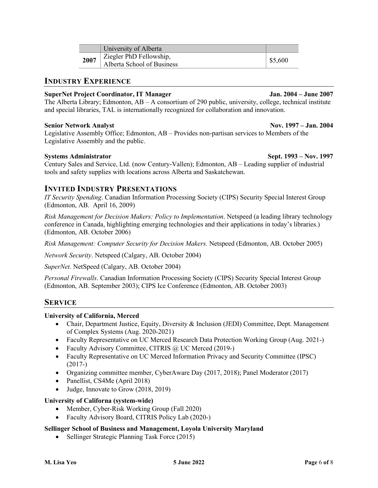|      | University of Alberta                                 |         |
|------|-------------------------------------------------------|---------|
| 2007 | Ziegler PhD Fellowship,<br>Alberta School of Business | \$5,600 |

## **INDUSTRY EXPERIENCE**

## **SuperNet Project Coordinator, IT Manager Jan. 2004 – June 2007**

The Alberta Library; Edmonton, AB – A consortium of 290 public, university, college, technical institute and special libraries, TAL is internationally recognized for collaboration and innovation.

## **Senior Network Analyst Nov. 1997 – Jan. 2004**

Legislative Assembly Office; Edmonton, AB – Provides non-partisan services to Members of the Legislative Assembly and the public.

**Systems Administrator Sept. 1993 – Nov. 1997** 

Century Sales and Service, Ltd. (now Century-Vallen); Edmonton, AB – Leading supplier of industrial tools and safety supplies with locations across Alberta and Saskatchewan.

# **INVITED INDUSTRY PRESENTATIONS**

*IT Security Spending*. Canadian Information Processing Society (CIPS) Security Special Interest Group (Edmonton, AB. April 16, 2009)

*Risk Management for Decision Makers: Policy to Implementation*. Netspeed (a leading library technology conference in Canada, highlighting emerging technologies and their applications in today's libraries.) (Edmonton, AB. October 2006)

*Risk Management: Computer Security for Decision Makers.* Netspeed (Edmonton, AB. October 2005)

*Network Security*. Netspeed (Calgary, AB. October 2004)

*SuperNet*. NetSpeed (Calgary, AB. October 2004)

*Personal Firewalls*. Canadian Information Processing Society (CIPS) Security Special Interest Group (Edmonton, AB. September 2003); CIPS Ice Conference (Edmonton, AB. October 2003)

# **SERVICE**

## **University of California, Merced**

- Chair, Department Justice, Equity, Diversity & Inclusion (JEDI) Committee, Dept. Management of Complex Systems (Aug. 2020-2021)
- Faculty Representative on UC Merced Research Data Protection Working Group (Aug. 2021-)
- Faculty Advisory Committee, CITRIS @ UC Merced (2019-)
- Faculty Representative on UC Merced Information Privacy and Security Committee (IPSC) (2017-)
- Organizing committee member, CyberAware Day (2017, 2018); Panel Moderator (2017)
- Panellist, CS4Me (April 2018)
- Judge, Innovate to Grow (2018, 2019)

## **University of Californa (system-wide)**

- Member, Cyber-Risk Working Group (Fall 2020)
- Faculty Advisory Board, CITRIS Policy Lab (2020-)

## **Sellinger School of Business and Management, Loyola University Maryland**

• Sellinger Strategic Planning Task Force (2015)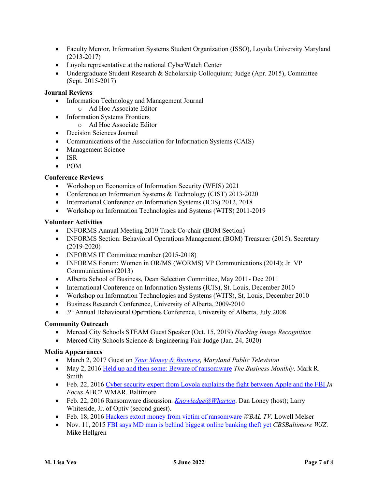- Faculty Mentor, Information Systems Student Organization (ISSO), Loyola University Maryland (2013-2017)
- Loyola representative at the national CyberWatch Center
- Undergraduate Student Research & Scholarship Colloquium; Judge (Apr. 2015), Committee (Sept. 2015-2017)

## **Journal Reviews**

- Information Technology and Management Journal
- o Ad Hoc Associate Editor
- Information Systems Frontiers
	- o Ad Hoc Associate Editor
- Decision Sciences Journal
- Communications of the Association for Information Systems (CAIS)
- Management Science
- ISR
- POM

## **Conference Reviews**

- Workshop on Economics of Information Security (WEIS) 2021
- Conference on Information Systems & Technology (CIST) 2013-2020
- International Conference on Information Systems (ICIS) 2012, 2018
- Workshop on Information Technologies and Systems (WITS) 2011-2019

## **Volunteer Activities**

- INFORMS Annual Meeting 2019 Track Co-chair (BOM Section)
- INFORMS Section: Behavioral Operations Management (BOM) Treasurer (2015), Secretary (2019-2020)
- INFORMS IT Committee member (2015-2018)
- INFORMS Forum: Women in OR/MS (WORMS) VP Communications (2014); Jr. VP Communications (2013)
- Alberta School of Business, Dean Selection Committee, May 2011- Dec 2011
- International Conference on Information Systems (ICIS), St. Louis, December 2010
- Workshop on Information Technologies and Systems (WITS), St. Louis, December 2010
- Business Research Conference, University of Alberta, 2009-2010
- 3<sup>rd</sup> Annual Behavioural Operations Conference, University of Alberta, July 2008.

## **Community Outreach**

- Merced City Schools STEAM Guest Speaker (Oct. 15, 2019) *Hacking Image Recognition*
- Merced City Schools Science & Engineering Fair Judge (Jan. 24, 2020)

## **Media Appearances**

- March 2, 2017 Guest on *[Your Money & Business,](http://www.loyola.edu/sellinger-business/faculty-research/videos/episode-3) Maryland Public Television*
- May 2, 201[6 Held up and then some: Beware of ransomware](http://www.bizmonthly.com/held-up-and-then-some-beware-of-ransomware/) *The Business Monthly*. Mark R. Smith
- Feb. 22, 2016 [Cyber security expert from Loyola explains the fight between Apple and the FBI](http://www.abc2news.com/news/in-focus/cyber-security-expert-from-loyola-explains-the-fight-between-apple-and-the-fbi) *In Focus* ABC2 WMAR. Baltimore
- Feb. 22, 2016 Ransomware discussion. *[Knowledge@Wharton](https://businessradio.wharton.upenn.edu/programs/knowledge-@wharton)*. Dan Loney (host); Larry Whiteside, Jr. of Optiv (second guest).
- Feb. 18, 2016 [Hackers extort money from victim of ransomware](http://www.wbaltv.com/news/hackers-extort-money-from-victims-of-ransomware/38066028) *WBAL TV.* Lowell Melser
- Nov. 11, 201[5 FBI says MD man is behind biggest online banking theft yet](http://baltimore.cbslocal.com/2015/11/11/fbi-says-md-man-is-behind-biggest-online-banking-theft-yet/) *CBSBaltimore WJZ*. Mike Hellgren